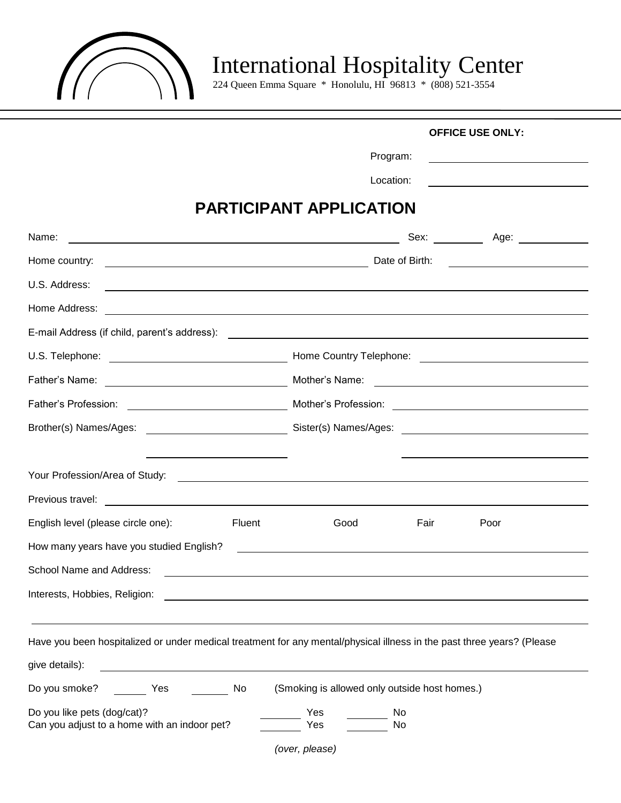

# **IN** International Hospitality Center

224 Queen Emma Square \* Honolulu, HI 96813 \* (808) 521-3554

|                                              | <b>OFFICE USE ONLY:</b>                                                                                                                   |
|----------------------------------------------|-------------------------------------------------------------------------------------------------------------------------------------------|
|                                              | Program:                                                                                                                                  |
|                                              | Location:<br><u> 1989 - Johann Barbara, martxa alemaniar a</u>                                                                            |
|                                              | <b>PARTICIPANT APPLICATION</b>                                                                                                            |
| Name:                                        | Sex:<br><u> 1989 - Johann Barn, mars et al. (b. 1989)</u>                                                                                 |
| Home country:                                | Date of Birth:<br><u> 1989 - Johann Barbara, martxa alemani</u> ar a                                                                      |
| U.S. Address:                                | <u> 1989 - Johann Stein, mars an deutscher Stein und der Stein und der Stein und der Stein und der Stein und der</u>                      |
| Home Address:                                | <u> 1989 - Andrea Stadt Britain, amerikansk fotograf i stof i den stadt fotograf i stof i stof i stof i stof i st</u>                     |
| E-mail Address (if child, parent's address): | <u> 1980 - Johann Barnett, fransk politik (d. 1980)</u>                                                                                   |
| U.S. Telephone:                              | Mome Country Telephone: <u>Andrean American Country Telephone:</u>                                                                        |
| Father's Name:                               | Mother's Name:<br><u> The Communication of the Communication of the Communication of the Communication of the Communication of the Co</u> |
| Father's Profession:                         |                                                                                                                                           |
|                                              |                                                                                                                                           |
|                                              |                                                                                                                                           |
|                                              |                                                                                                                                           |
|                                              |                                                                                                                                           |
| English level (please circle one):           | Fluent<br>Good<br>Fair<br>Poor                                                                                                            |
| How many years have you studied English?     |                                                                                                                                           |
| School Name and Address:                     |                                                                                                                                           |
| Interests, Hobbies, Religion:                | <u> 1980 - Jan Samuel Barbara, margaret eta idazlearia (h. 1980).</u>                                                                     |
|                                              |                                                                                                                                           |
|                                              | Have you been hospitalized or under medical treatment for any mental/physical illness in the past three years? (Please                    |
| give details):                               |                                                                                                                                           |
| Do you smoke?<br>No<br>Yes                   | (Smoking is allowed only outside host homes.)                                                                                             |
| Do you like pets (dog/cat)?                  | Yes<br>No                                                                                                                                 |
| Can you adjust to a home with an indoor pet? | Yes<br>No                                                                                                                                 |
|                                              | (over, please)                                                                                                                            |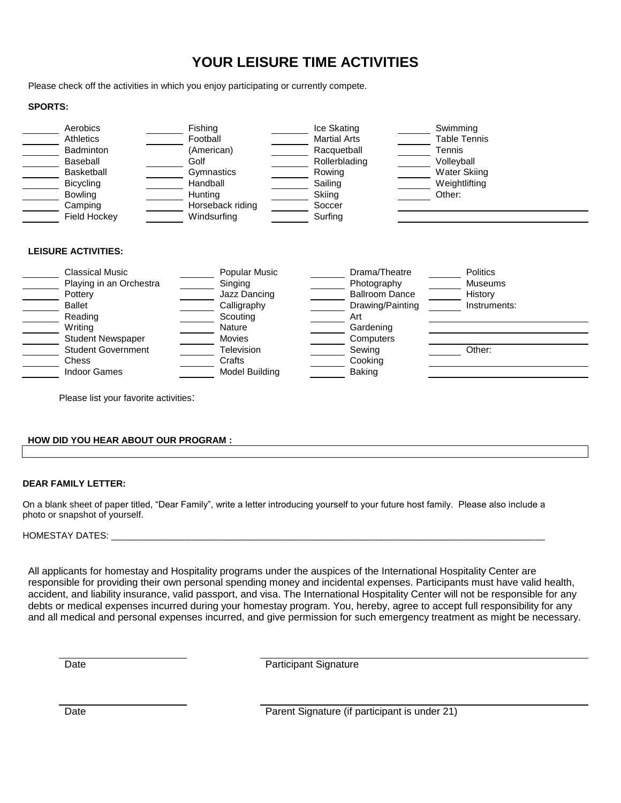# **YOUR LEISURE TIME ACTIVITIES**

Please check off the activities in which you enjoy participating or currently compete.

## **SPORTS:**

| Aerobics<br>Athletics<br><b>Badminton</b><br>Baseball<br><b>Basketball</b><br><b>Bicycling</b><br><b>Bowling</b><br>Camping | Fishing<br>Football<br>(American)<br>Golf<br>Gymnastics<br>Handball<br>Hunting<br>Horseback riding | Ice Skating<br><b>Martial Arts</b><br>Racquetball<br>Rollerblading<br>Rowing<br>Sailing<br>Skiing<br>Soccer | Swimming<br><b>Table Tennis</b><br>Tennis<br>Volleyball<br><b>Water Skiing</b><br>Weightlifting<br>Other: |
|-----------------------------------------------------------------------------------------------------------------------------|----------------------------------------------------------------------------------------------------|-------------------------------------------------------------------------------------------------------------|-----------------------------------------------------------------------------------------------------------|
| <b>Field Hockey</b>                                                                                                         | Windsurfing                                                                                        | Surfing                                                                                                     |                                                                                                           |
| <b>LEISURE ACTIVITIES:</b><br><b>Classical Music</b><br>Playing in an Orchestra                                             | Popular Music<br>Singing                                                                           | Drama/Theatre<br>Photography                                                                                | <b>Politics</b><br><b>Museums</b>                                                                         |
| Pottery                                                                                                                     | Jazz Dancing                                                                                       | <b>Ballroom Dance</b>                                                                                       | History                                                                                                   |
| <b>Ballet</b>                                                                                                               | Calligraphy                                                                                        | Drawing/Painting                                                                                            | Instruments:                                                                                              |
| Reading                                                                                                                     | Scouting                                                                                           | Art                                                                                                         |                                                                                                           |
| Writing                                                                                                                     | <b>Nature</b>                                                                                      | Gardening                                                                                                   |                                                                                                           |
| <b>Student Newspaper</b>                                                                                                    | <b>Movies</b>                                                                                      | Computers                                                                                                   |                                                                                                           |
| <b>Student Government</b>                                                                                                   | Television                                                                                         | Sewing                                                                                                      | Other:                                                                                                    |
| Chess<br><b>Indoor Games</b>                                                                                                | Crafts<br>Model Building                                                                           | Cooking<br><b>Baking</b>                                                                                    |                                                                                                           |
|                                                                                                                             |                                                                                                    |                                                                                                             |                                                                                                           |

Please list your favorite activities:

# **HOW DID YOU HEAR ABOUT OUR PROGRAM :**

#### **DEAR FAMILY LETTER:**

On a blank sheet of paper titled, "Dear Family", write a letter introducing yourself to your future host family. Please also include a photo or snapshot of yourself.

#### HOMESTAY DATES: \_\_

All applicants for homestay and Hospitality programs under the auspices of the International Hospitality Center are responsible for providing their own personal spending money and incidental expenses. Participants must have valid health, accident, and liability insurance, valid passport, and visa. The International Hospitality Center will not be responsible for any debts or medical expenses incurred during your homestay program. You, hereby, agree to accept full responsibility for any and all medical and personal expenses incurred, and give permission for such emergency treatment as might be necessary.

Date **Date** Participant Signature

Date **Parent Signature (if participant is under 21)**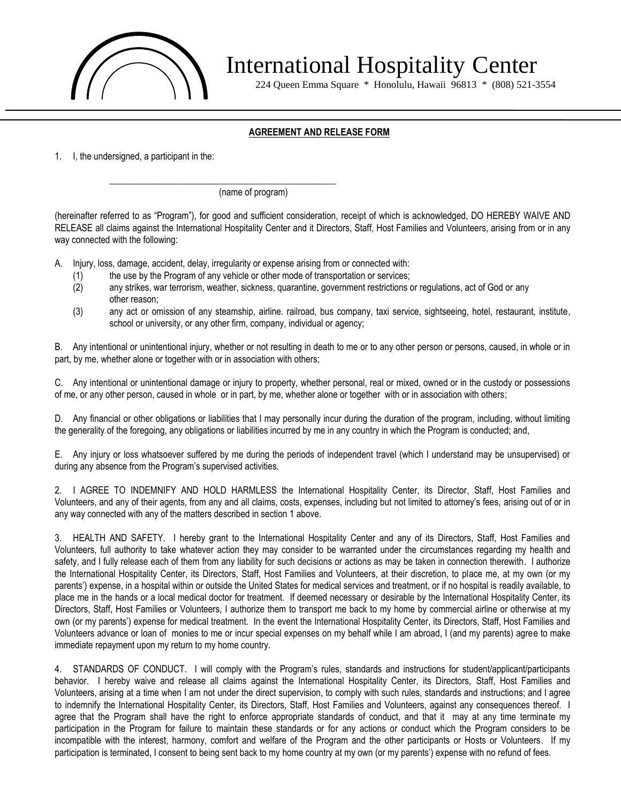

International Hospitality Center

224 Queen Emma Square \* Honolulu, Hawaii 96813 \* (808) 521-3554

# **AGREEMENT AND RELEASE FORM**

1. I, the undersigned, a participant in the:

(name of program)

(hereinafter referred to as "Program"), for good and sufficient consideration, receipt of which is acknowledged, DO HEREBY WAIVE AND RELEASE all claims against the International Hospitality Center and it Directors, Staff, Host Families and Volunteers, arising from or in any way connected with the following:

A. Injury, loss, damage, accident, delay, irregularity or expense arising from or connected with:

\_\_\_\_\_\_\_\_\_\_\_\_\_\_\_\_\_\_\_\_\_\_\_\_\_\_\_\_\_\_\_\_\_\_\_\_\_\_\_\_\_\_\_\_\_\_\_\_\_

- (1) the use by the Program of any vehicle or other mode of transportation or services;
- (2) any strikes, war terrorism, weather, sickness, quarantine, government restrictions or regulations, act of God or any other reason;
- (3) any act or omission of any steamship, airline. railroad, bus company, taxi service, sightseeing, hotel, restaurant, institute, school or university, or any other firm, company, individual or agency;

B. Any intentional or unintentional injury, whether or not resulting in death to me or to any other person or persons, caused, in whole or in part, by me, whether alone or together with or in association with others;

C. Any intentional or unintentional damage or injury to property, whether personal, real or mixed, owned or in the custody or possessions of me, or any other person, caused in whole or in part, by me, whether alone or together with or in association with others;

D. Any financial or other obligations or liabilities that I may personally incur during the duration of the program, including, without limiting the generality of the foregoing, any obligations or liabilities incurred by me in any country in which the Program is conducted; and,

E. Any injury or loss whatsoever suffered by me during the periods of independent travel (which I understand may be unsupervised) or during any absence from the Program's supervised activities.

2. I AGREE TO INDEMNIFY AND HOLD HARMLESS the International Hospitality Center, its Director, Staff, Host Families and Volunteers, and any of their agents, from any and all claims, costs, expenses, including but not limited to attorney's fees, arising out of or in any way connected with any of the matters described in section 1 above.

3. HEALTH AND SAFETY. I hereby grant to the International Hospitality Center and any of its Directors, Staff, Host Families and Volunteers, full authority to take whatever action they may consider to be warranted under the circumstances regarding my health and safety, and I fully release each of them from any liability for such decisions or actions as may be taken in connection therewith. I authorize the International Hospitality Center, its Directors, Staff, Host Families and Volunteers, at their discretion, to place me, at my own (or my parents') expense, in a hospital within or outside the United States for medical services and treatment, or if no hospital is readily available, to place me in the hands or a local medical doctor for treatment. If deemed necessary or desirable by the International Hospitality Center, its Directors, Staff, Host Families or Volunteers, I authorize them to transport me back to my home by commercial airline or otherwise at my own (or my parents') expense for medical treatment. In the event the International Hospitality Center, its Directors, Staff, Host Families and Volunteers advance or loan of monies to me or incur special expenses on my behalf while I am abroad, I (and my parents) agree to make immediate repayment upon my return to my home country.

4. STANDARDS OF CONDUCT. I will comply with the Program's rules, standards and instructions for student/applicant/participants behavior. I hereby waive and release all claims against the International Hospitality Center, its Directors, Staff, Host Families and Volunteers, arising at a time when I am not under the direct supervision, to comply with such rules, standards and instructions; and I agree to indemnify the International Hospitality Center, its Directors, Staff, Host Families and Volunteers, against any consequences thereof. I agree that the Program shall have the right to enforce appropriate standards of conduct, and that it may at any time terminate my participation in the Program for failure to maintain these standards or for any actions or conduct which the Program considers to be incompatible with the interest, harmony, comfort and welfare of the Program and the other participants or Hosts or Volunteers. If my participation is terminated, I consent to being sent back to my home country at my own (or my parents') expense with no refund of fees.